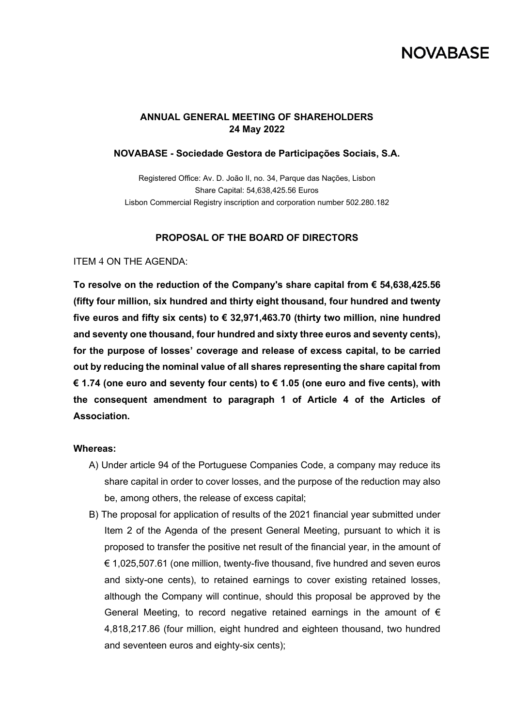# **NOVABASE**

## **ANNUAL GENERAL MEETING OF SHAREHOLDERS 24 May 2022**

#### **NOVABASE - Sociedade Gestora de Participações Sociais, S.A.**

Registered Office: Av. D. João II, no. 34, Parque das Nações, Lisbon Share Capital: 54,638,425.56 Euros Lisbon Commercial Registry inscription and corporation number 502.280.182

#### **PROPOSAL OF THE BOARD OF DIRECTORS**

ITEM 4 ON THE AGENDA:

**To resolve on the reduction of the Company's share capital from € 54,638,425.56 (fifty four million, six hundred and thirty eight thousand, four hundred and twenty five euros and fifty six cents) to € 32,971,463.70 (thirty two million, nine hundred and seventy one thousand, four hundred and sixty three euros and seventy cents), for the purpose of losses' coverage and release of excess capital, to be carried out by reducing the nominal value of all shares representing the share capital from € 1.74 (one euro and seventy four cents) to € 1.05 (one euro and five cents), with the consequent amendment to paragraph 1 of Article 4 of the Articles of Association.** 

#### **Whereas:**

- A) Under article 94 of the Portuguese Companies Code, a company may reduce its share capital in order to cover losses, and the purpose of the reduction may also be, among others, the release of excess capital;
- B) The proposal for application of results of the 2021 financial year submitted under Item 2 of the Agenda of the present General Meeting, pursuant to which it is proposed to transfer the positive net result of the financial year, in the amount of  $\epsilon$  1,025,507.61 (one million, twenty-five thousand, five hundred and seven euros and sixty-one cents), to retained earnings to cover existing retained losses, although the Company will continue, should this proposal be approved by the General Meeting, to record negative retained earnings in the amount of  $\epsilon$ 4,818,217.86 (four million, eight hundred and eighteen thousand, two hundred and seventeen euros and eighty-six cents);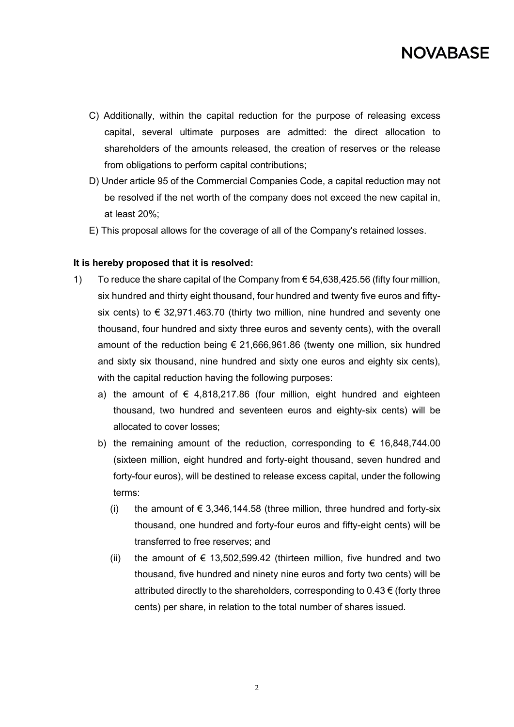

- C) Additionally, within the capital reduction for the purpose of releasing excess capital, several ultimate purposes are admitted: the direct allocation to shareholders of the amounts released, the creation of reserves or the release from obligations to perform capital contributions;
- D) Under article 95 of the Commercial Companies Code, a capital reduction may not be resolved if the net worth of the company does not exceed the new capital in, at least 20%;
- E) This proposal allows for the coverage of all of the Company's retained losses.

### **It is hereby proposed that it is resolved:**

- 1) To reduce the share capital of the Company from € 54,638,425.56 (fifty four million, six hundred and thirty eight thousand, four hundred and twenty five euros and fiftysix cents) to  $\epsilon$  32,971.463.70 (thirty two million, nine hundred and seventy one thousand, four hundred and sixty three euros and seventy cents), with the overall amount of the reduction being  $\epsilon$  21,666,961.86 (twenty one million, six hundred and sixty six thousand, nine hundred and sixty one euros and eighty six cents), with the capital reduction having the following purposes:
	- a) the amount of  $\epsilon$  4,818,217.86 (four million, eight hundred and eighteen thousand, two hundred and seventeen euros and eighty-six cents) will be allocated to cover losses;
	- b) the remaining amount of the reduction, corresponding to  $\epsilon$  16,848,744.00 (sixteen million, eight hundred and forty-eight thousand, seven hundred and forty-four euros), will be destined to release excess capital, under the following terms:
		- (i) the amount of  $\epsilon$  3,346,144.58 (three million, three hundred and forty-six thousand, one hundred and forty-four euros and fifty-eight cents) will be transferred to free reserves; and
		- (ii) the amount of  $\epsilon$  13,502,599.42 (thirteen million, five hundred and two thousand, five hundred and ninety nine euros and forty two cents) will be attributed directly to the shareholders, corresponding to  $0.43 \in$  (forty three cents) per share, in relation to the total number of shares issued.